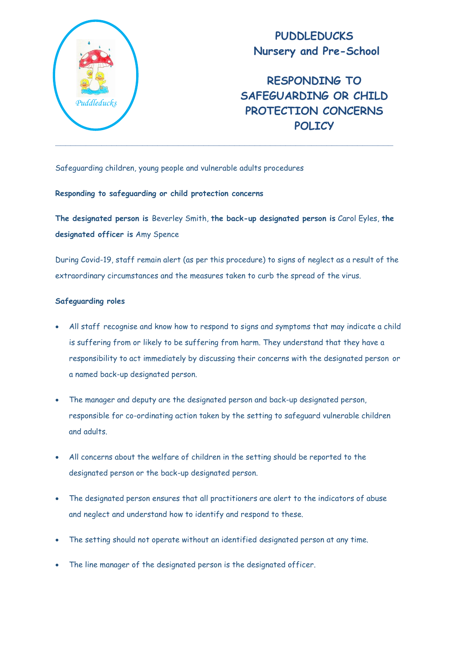

**PUDDLEDUCKS Nursery and Pre-School**

**RESPONDING TO SAFEGUARDING OR CHILD PROTECTION CONCERNS POLICY**

Safeguarding children, young people and vulnerable adults procedures

# **Responding to safeguarding or child protection concerns**

**The designated person is** Beverley Smith, **the back-up designated person is** Carol Eyles, **the designated officer is** Amy Spence

During Covid-19, staff remain alert (as per this procedure) to signs of neglect as a result of the extraordinary circumstances and the measures taken to curb the spread of the virus.

# **Safeguarding roles**

- All staff recognise and know how to respond to signs and symptoms that may indicate a child is suffering from or likely to be suffering from harm. They understand that they have a responsibility to act immediately by discussing their concerns with the designated person or a named back-up designated person.
- The manager and deputy are the designated person and back-up designated person, responsible for co-ordinating action taken by the setting to safeguard vulnerable children and adults.
- All concerns about the welfare of children in the setting should be reported to the designated person or the back-up designated person.
- The designated person ensures that all practitioners are alert to the indicators of abuse and neglect and understand how to identify and respond to these.
- The setting should not operate without an identified designated person at any time.
- The line manager of the designated person is the designated officer.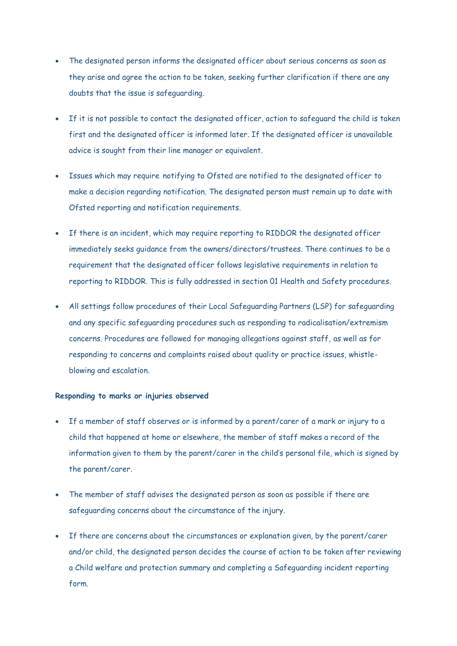- The designated person informs the designated officer about serious concerns as soon as they arise and agree the action to be taken, seeking further clarification if there are any doubts that the issue is safeguarding.
- If it is not possible to contact the designated officer, action to safeguard the child is taken first and the designated officer is informed later. If the designated officer is unavailable advice is sought from their line manager or equivalent.
- Issues which may require notifying to Ofsted are notified to the designated officer to make a decision regarding notification. The designated person must remain up to date with Ofsted reporting and notification requirements.
- If there is an incident, which may require reporting to RIDDOR the designated officer immediately seeks guidance from the owners/directors/trustees. There continues to be a requirement that the designated officer follows legislative requirements in relation to reporting to RIDDOR. This is fully addressed in section 01 Health and Safety procedures.
- All settings follow procedures of their Local Safeguarding Partners (LSP) for safeguarding and any specific safeguarding procedures such as responding to radicalisation/extremism concerns. Procedures are followed for managing allegations against staff, as well as for responding to concerns and complaints raised about quality or practice issues, whistleblowing and escalation.

#### **Responding to marks or injuries observed**

- If a member of staff observes or is informed by a parent/carer of a mark or injury to a child that happened at home or elsewhere, the member of staff makes a record of the information given to them by the parent/carer in the child's personal file, which is signed by the parent/carer.
- The member of staff advises the designated person as soon as possible if there are safeguarding concerns about the circumstance of the injury.
- If there are concerns about the circumstances or explanation given, by the parent/carer and/or child, the designated person decides the course of action to be taken after reviewing a Child welfare and protection summary and completing a Safeguarding incident reporting form.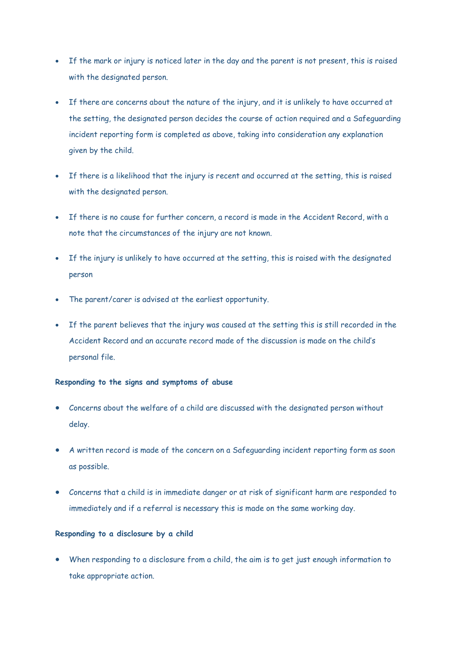- If the mark or injury is noticed later in the day and the parent is not present, this is raised with the designated person.
- If there are concerns about the nature of the injury, and it is unlikely to have occurred at the setting, the designated person decides the course of action required and a Safeguarding incident reporting form is completed as above, taking into consideration any explanation given by the child.
- If there is a likelihood that the injury is recent and occurred at the setting, this is raised with the designated person.
- If there is no cause for further concern, a record is made in the Accident Record, with a note that the circumstances of the injury are not known.
- If the injury is unlikely to have occurred at the setting, this is raised with the designated person
- The parent/carer is advised at the earliest opportunity.
- If the parent believes that the injury was caused at the setting this is still recorded in the Accident Record and an accurate record made of the discussion is made on the child's personal file.

# **Responding to the signs and symptoms of abuse**

- Concerns about the welfare of a child are discussed with the designated person without delay.
- A written record is made of the concern on a Safeguarding incident reporting form as soon as possible.
- Concerns that a child is in immediate danger or at risk of significant harm are responded to immediately and if a referral is necessary this is made on the same working day.

# **Responding to a disclosure by a child**

 When responding to a disclosure from a child, the aim is to get just enough information to take appropriate action.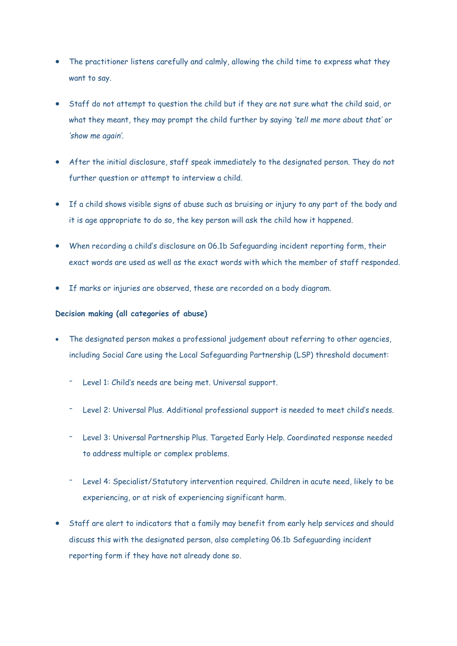- The practitioner listens carefully and calmly, allowing the child time to express what they want to say.
- Staff do not attempt to question the child but if they are not sure what the child said, or what they meant, they may prompt the child further by saying *'tell me more about that'* or *'show me again'.*
- After the initial disclosure, staff speak immediately to the designated person. They do not further question or attempt to interview a child.
- If a child shows visible signs of abuse such as bruising or injury to any part of the body and it is age appropriate to do so, the key person will ask the child how it happened.
- When recording a child's disclosure on 06.1b Safeguarding incident reporting form, their exact words are used as well as the exact words with which the member of staff responded.
- If marks or injuries are observed, these are recorded on a body diagram.

# **Decision making (all categories of abuse)**

- The designated person makes a professional judgement about referring to other agencies, including Social Care using the Local Safeguarding Partnership (LSP) threshold document:
	- Level 1: Child's needs are being met. Universal support.
	- Level 2: Universal Plus. Additional professional support is needed to meet child's needs.
	- Level 3: Universal Partnership Plus. Targeted Early Help. Coordinated response needed to address multiple or complex problems.
	- Level 4: Specialist/Statutory intervention required. Children in acute need, likely to be experiencing, or at risk of experiencing significant harm.
- Staff are alert to indicators that a family may benefit from early help services and should discuss this with the designated person, also completing 06.1b Safeguarding incident reporting form if they have not already done so.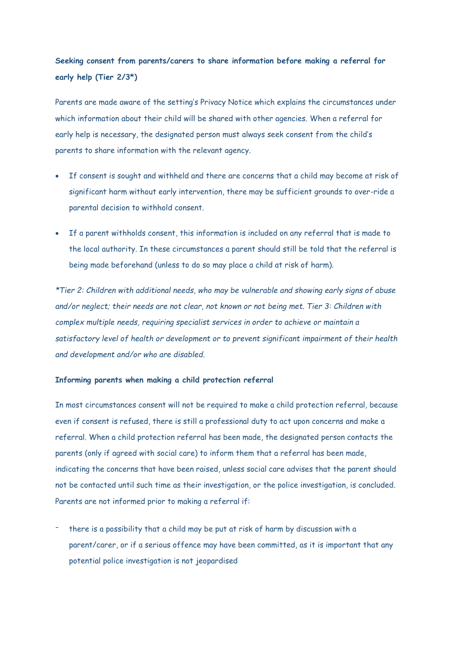# **Seeking consent from parents/carers to share information before making a referral for early help (Tier 2/3\*)**

Parents are made aware of the setting's Privacy Notice which explains the circumstances under which information about their child will be shared with other agencies. When a referral for early help is necessary, the designated person must always seek consent from the child's parents to share information with the relevant agency.

- If consent is sought and withheld and there are concerns that a child may become at risk of significant harm without early intervention, there may be sufficient grounds to over-ride a parental decision to withhold consent.
- If a parent withholds consent, this information is included on any referral that is made to the local authority. In these circumstances a parent should still be told that the referral is being made beforehand (unless to do so may place a child at risk of harm).

*\*Tier 2: Children with additional needs, who may be vulnerable and showing early signs of abuse and/or neglect; their needs are not clear, not known or not being met. Tier 3: Children with complex multiple needs, requiring specialist services in order to achieve or maintain a satisfactory level of health or development or to prevent significant impairment of their health and development and/or who are disabled.*

# **Informing parents when making a child protection referral**

In most circumstances consent will not be required to make a child protection referral, because even if consent is refused, there is still a professional duty to act upon concerns and make a referral. When a child protection referral has been made, the designated person contacts the parents (only if agreed with social care) to inform them that a referral has been made, indicating the concerns that have been raised, unless social care advises that the parent should not be contacted until such time as their investigation, or the police investigation, is concluded. Parents are not informed prior to making a referral if:

there is a possibility that a child may be put at risk of harm by discussion with a parent/carer, or if a serious offence may have been committed, as it is important that any potential police investigation is not jeopardised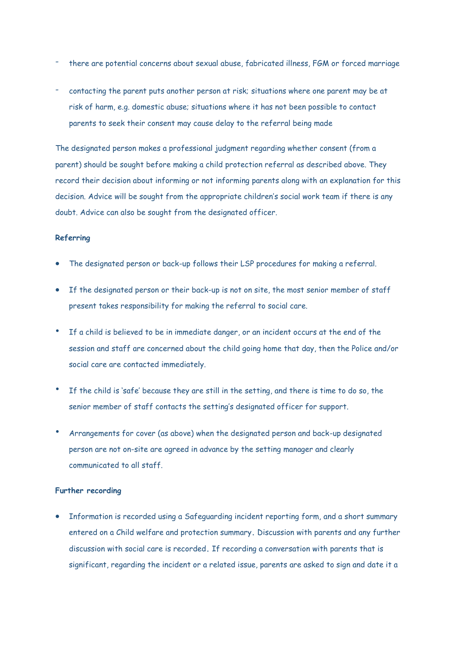- there are potential concerns about sexual abuse, fabricated illness, FGM or forced marriage
- contacting the parent puts another person at risk; situations where one parent may be at risk of harm, e.g. domestic abuse; situations where it has not been possible to contact parents to seek their consent may cause delay to the referral being made

The designated person makes a professional judgment regarding whether consent (from a parent) should be sought before making a child protection referral as described above. They record their decision about informing or not informing parents along with an explanation for this decision. Advice will be sought from the appropriate children's social work team if there is any doubt. Advice can also be sought from the designated officer.

### **Referring**

- The designated person or back-up follows their LSP procedures for making a referral.
- If the designated person or their back-up is not on site, the most senior member of staff present takes responsibility for making the referral to social care.
- If a child is believed to be in immediate danger, or an incident occurs at the end of the session and staff are concerned about the child going home that day, then the Police and/or social care are contacted immediately.
- If the child is 'safe' because they are still in the setting, and there is time to do so, the senior member of staff contacts the setting's designated officer for support.
- Arrangements for cover (as above) when the designated person and back-up designated person are not on-site are agreed in advance by the setting manager and clearly communicated to all staff.

### **Further recording**

 Information is recorded using a Safeguarding incident reporting form, and a short summary entered on a Child welfare and protection summary**.** Discussion with parents and any further discussion with social care is recorded**.** If recording a conversation with parents that is significant, regarding the incident or a related issue, parents are asked to sign and date it a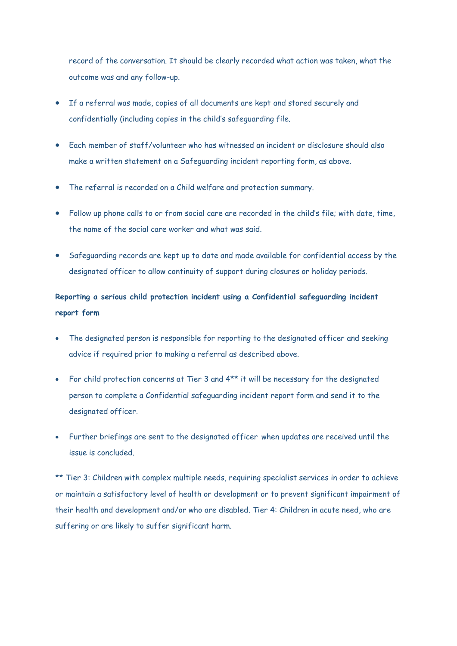record of the conversation. It should be clearly recorded what action was taken, what the outcome was and any follow-up.

- If a referral was made, copies of all documents are kept and stored securely and confidentially (including copies in the child's safeguarding file.
- Each member of staff/volunteer who has witnessed an incident or disclosure should also make a written statement on a Safeguarding incident reporting form, as above.
- The referral is recorded on a Child welfare and protection summary.
- Follow up phone calls to or from social care are recorded in the child's file; with date, time, the name of the social care worker and what was said.
- Safeguarding records are kept up to date and made available for confidential access by the designated officer to allow continuity of support during closures or holiday periods.

# **Reporting a serious child protection incident using a Confidential safeguarding incident report form**

- The designated person is responsible for reporting to the designated officer and seeking advice if required prior to making a referral as described above.
- For child protection concerns at Tier 3 and 4\*\* it will be necessary for the designated person to complete a Confidential safeguarding incident report form and send it to the designated officer.
- Further briefings are sent to the designated officer when updates are received until the issue is concluded.

\*\* Tier 3: Children with complex multiple needs, requiring specialist services in order to achieve or maintain a satisfactory level of health or development or to prevent significant impairment of their health and development and/or who are disabled. Tier 4: Children in acute need, who are suffering or are likely to suffer significant harm.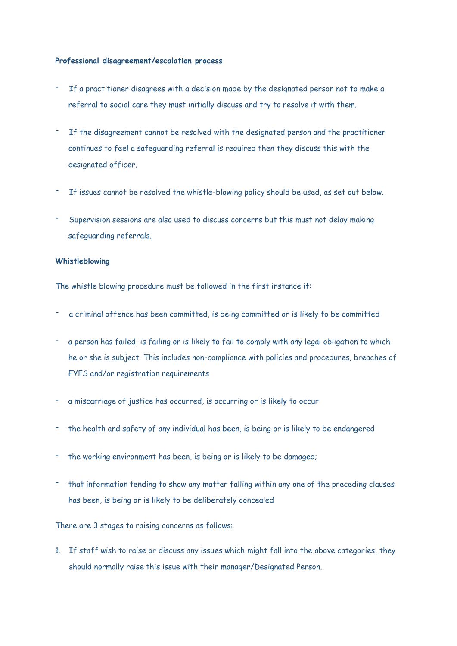# **Professional disagreement/escalation process**

- If a practitioner disagrees with a decision made by the designated person not to make a referral to social care they must initially discuss and try to resolve it with them.
- If the disagreement cannot be resolved with the designated person and the practitioner continues to feel a safeguarding referral is required then they discuss this with the designated officer.
- If issues cannot be resolved the whistle-blowing policy should be used, as set out below.
- Supervision sessions are also used to discuss concerns but this must not delay making safeguarding referrals.

#### **Whistleblowing**

The whistle blowing procedure must be followed in the first instance if:

- a criminal offence has been committed, is being committed or is likely to be committed
- a person has failed, is failing or is likely to fail to comply with any legal obligation to which he or she is subject. This includes non-compliance with policies and procedures, breaches of EYFS and/or registration requirements
- a miscarriage of justice has occurred, is occurring or is likely to occur
- the health and safety of any individual has been, is being or is likely to be endangered
- the working environment has been, is being or is likely to be damaged;
- that information tending to show any matter falling within any one of the preceding clauses has been, is being or is likely to be deliberately concealed

There are 3 stages to raising concerns as follows:

1. If staff wish to raise or discuss any issues which might fall into the above categories, they should normally raise this issue with their manager/Designated Person.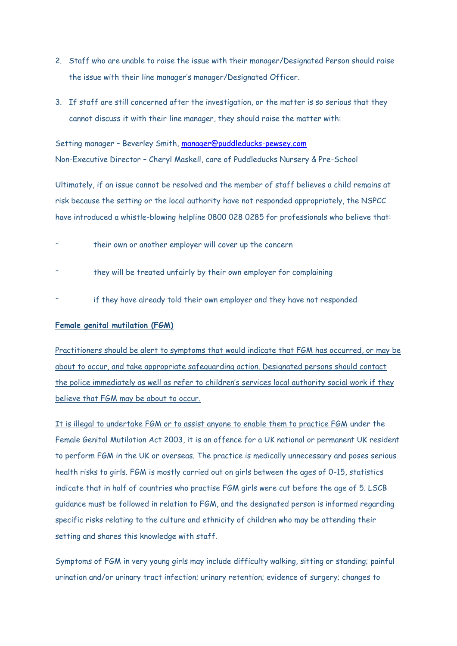- 2. Staff who are unable to raise the issue with their manager/Designated Person should raise the issue with their line manager's manager/Designated Officer.
- 3. If staff are still concerned after the investigation, or the matter is so serious that they cannot discuss it with their line manager, they should raise the matter with:

Setting manager – Beverley Smith, [manager@puddleducks-pewsey.com](mailto:manager@puddleducks-pewsey.com)  Non-Executive Director – Cheryl Maskell, care of Puddleducks Nursery & Pre-School

Ultimately, if an issue cannot be resolved and the member of staff believes a child remains at risk because the setting or the local authority have not responded appropriately, the NSPCC have introduced a whistle-blowing helpline 0800 028 0285 for professionals who believe that:

- their own or another employer will cover up the concern
- they will be treated unfairly by their own employer for complaining
- if they have already told their own employer and they have not responded

### **Female genital mutilation (FGM)**

Practitioners should be alert to symptoms that would indicate that FGM has occurred, or may be about to occur, and take appropriate safeguarding action. Designated persons should contact the police immediately as well as refer to children's services local authority social work if they believe that FGM may be about to occur.

It is illegal to undertake FGM or to assist anyone to enable them to practice FGM under the Female Genital Mutilation Act 2003, it is an offence for a UK national or permanent UK resident to perform FGM in the UK or overseas. The practice is medically unnecessary and poses serious health risks to girls. FGM is mostly carried out on girls between the ages of 0-15, statistics indicate that in half of countries who practise FGM girls were cut before the age of 5. LSCB guidance must be followed in relation to FGM, and the designated person is informed regarding specific risks relating to the culture and ethnicity of children who may be attending their setting and shares this knowledge with staff.

Symptoms of FGM in very young girls may include difficulty walking, sitting or standing; painful urination and/or urinary tract infection; urinary retention; evidence of surgery; changes to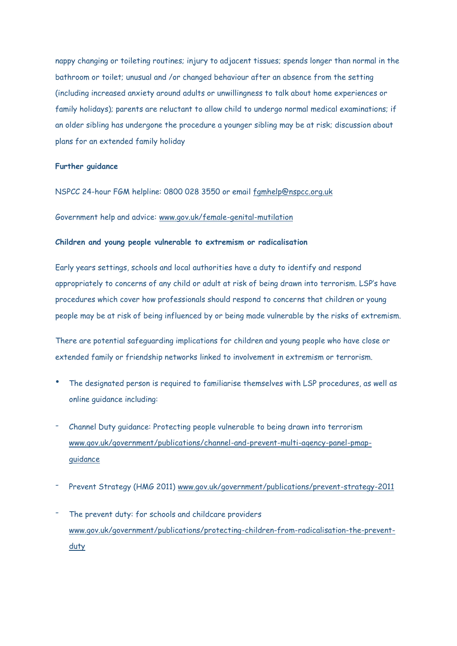nappy changing or toileting routines; injury to adjacent tissues; spends longer than normal in the bathroom or toilet; unusual and /or changed behaviour after an absence from the setting (including increased anxiety around adults or unwillingness to talk about home experiences or family holidays); parents are reluctant to allow child to undergo normal medical examinations; if an older sibling has undergone the procedure a younger sibling may be at risk; discussion about plans for an extended family holiday

# **Further guidance**

NSPCC 24-hour FGM helpline: 0800 028 3550 or email [fgmhelp@nspcc.org.uk](mailto:fgmhelp@nspcc.org.uk)

Government help and advice: [www.gov.uk/female-genital-mutilation](http://www.gov.uk/female-genital-mutilation)

### **Children and young people vulnerable to extremism or radicalisation**

Early years settings, schools and local authorities have a duty to identify and respond appropriately to concerns of any child or adult at risk of being drawn into terrorism. LSP's have procedures which cover how professionals should respond to concerns that children or young people may be at risk of being influenced by or being made vulnerable by the risks of extremism.

There are potential safeguarding implications for children and young people who have close or extended family or friendship networks linked to involvement in extremism or terrorism.

- The designated person is required to familiarise themselves with LSP procedures, as well as online guidance including:
- Channel Duty guidance: Protecting people vulnerable to being drawn into terrorism [www.gov.uk/government/publications/channel-and-prevent-multi-agency-panel-pmap](http://www.gov.uk/government/publications/channel-and-prevent-multi-agency-panel-pmap-guidance)[guidance](http://www.gov.uk/government/publications/channel-and-prevent-multi-agency-panel-pmap-guidance)
- Prevent Strategy (HMG 2011) [www.gov.uk/government/publications/prevent-strategy-2011](http://www.gov.uk/government/publications/prevent-strategy-2011)
- The prevent duty: for schools and childcare providers [www.gov.uk/government/publications/protecting-children-from-radicalisation-the-prevent](http://www.gov.uk/government/publications/protecting-children-from-radicalisation-the-prevent-duty)[duty](http://www.gov.uk/government/publications/protecting-children-from-radicalisation-the-prevent-duty)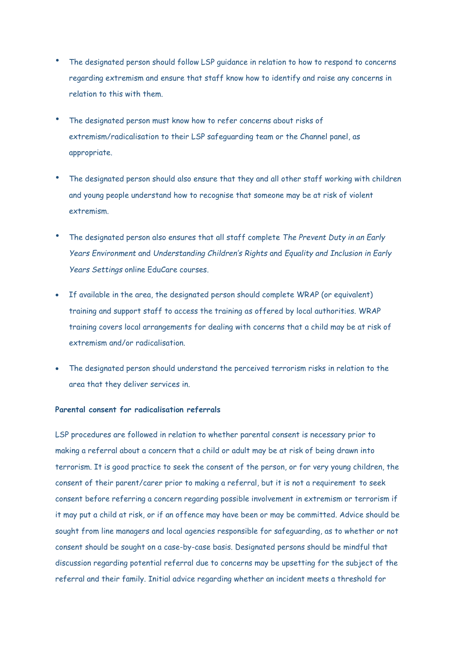- The designated person should follow LSP guidance in relation to how to respond to concerns regarding extremism and ensure that staff know how to identify and raise any concerns in relation to this with them.
- The designated person must know how to refer concerns about risks of extremism/radicalisation to their LSP safeguarding team or the Channel panel, as appropriate.
- The designated person should also ensure that they and all other staff working with children and young people understand how to recognise that someone may be at risk of violent extremism.
- The designated person also ensures that all staff complete *The Prevent Duty in an Early Years Environment* and *Understanding Children's Rights* and *Equality and Inclusion in Early Years Settings* online EduCare courses*.*
- If available in the area, the designated person should complete WRAP (or equivalent) training and support staff to access the training as offered by local authorities. WRAP training covers local arrangements for dealing with concerns that a child may be at risk of extremism and/or radicalisation.
- The designated person should understand the perceived terrorism risks in relation to the area that they deliver services in.

# **Parental consent for radicalisation referrals**

LSP procedures are followed in relation to whether parental consent is necessary prior to making a referral about a concern that a child or adult may be at risk of being drawn into terrorism. It is good practice to seek the consent of the person, or for very young children, the consent of their parent/carer prior to making a referral, but it is not a requirement to seek consent before referring a concern regarding possible involvement in extremism or terrorism if it may put a child at risk, or if an offence may have been or may be committed. Advice should be sought from line managers and local agencies responsible for safeguarding, as to whether or not consent should be sought on a case-by-case basis. Designated persons should be mindful that discussion regarding potential referral due to concerns may be upsetting for the subject of the referral and their family. Initial advice regarding whether an incident meets a threshold for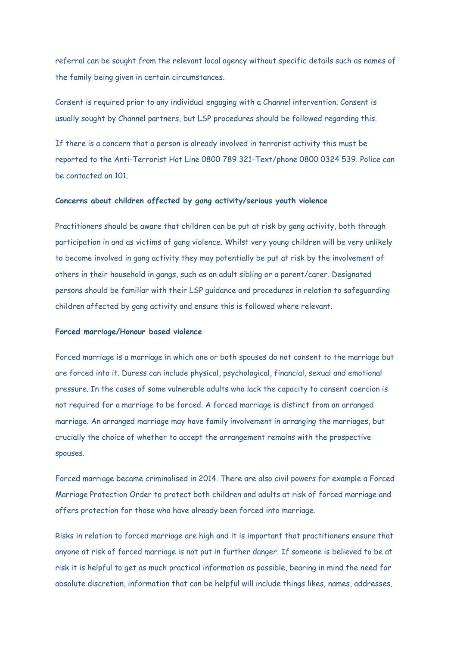referral can be sought from the relevant local agency without specific details such as names of the family being given in certain circumstances.

Consent is required prior to any individual engaging with a Channel intervention. Consent is usually sought by Channel partners, but LSP procedures should be followed regarding this.

If there is a concern that a person is already involved in terrorist activity this must be reported to the Anti-Terrorist Hot Line 0800 789 321-Text/phone 0800 0324 539. Police can be contacted on 101.

### **Concerns about children affected by gang activity/serious youth violence**

Practitioners should be aware that children can be put at risk by gang activity, both through participation in and as victims of gang violence. Whilst very young children will be very unlikely to become involved in gang activity they may potentially be put at risk by the involvement of others in their household in gangs, such as an adult sibling or a parent/carer. Designated persons should be familiar with their LSP guidance and procedures in relation to safeguarding children affected by gang activity and ensure this is followed where relevant.

### **Forced marriage/Honour based violence**

Forced marriage is a marriage in which one or both spouses do not consent to the marriage but are forced into it. Duress can include physical, psychological, financial, sexual and emotional pressure. In the cases of some vulnerable adults who lack the capacity to consent coercion is not required for a marriage to be forced. A forced marriage is distinct from an arranged marriage. An arranged marriage may have family involvement in arranging the marriages, but crucially the choice of whether to accept the arrangement remains with the prospective spouses.

Forced marriage became criminalised in 2014. There are also civil powers for example a Forced Marriage Protection Order to protect both children and adults at risk of forced marriage and offers protection for those who have already been forced into marriage.

Risks in relation to forced marriage are high and it is important that practitioners ensure that anyone at risk of forced marriage is not put in further danger. If someone is believed to be at risk it is helpful to get as much practical information as possible, bearing in mind the need for absolute discretion, information that can be helpful will include things likes, names, addresses,